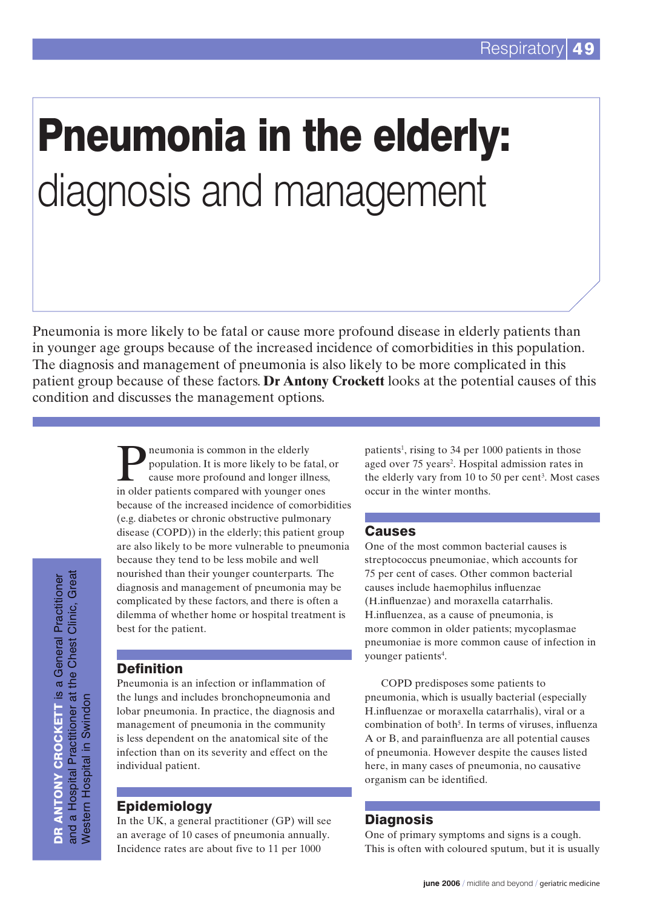# Pneumonia in the elderly: diagnosis and management

Pneumonia is more likely to be fatal or cause more profound disease in elderly patients than in younger age groups because of the increased incidence of comorbidities in this population. The diagnosis and management of pneumonia is also likely to be more complicated in this patient group because of these factors. **Dr Antony Crockett** looks at the potential causes of this condition and discusses the management options.

> **P** neumonia is common in the elderly<br>population. It is more likely to be fa<br>cause more profound and longer illr<br>in elder patients compared with vouncer of population. It is more likely to be fatal, or cause more profound and longer illness, in older patients compared with younger ones because of the increased incidence of comorbidities (e.g. diabetes or chronic obstructive pulmonary disease (COPD)) in the elderly; this patient group are also likely to be more vulnerable to pneumonia because they tend to be less mobile and well nourished than their younger counterparts. The diagnosis and management of pneumonia may be complicated by these factors, and there is often a dilemma of whether home or hospital treatment is best for the patient.

## Definition

Pneumonia is an infection or inflammation of the lungs and includes bronchopneumonia and lobar pneumonia. In practice, the diagnosis and management of pneumonia in the community is less dependent on the anatomical site of the infection than on its severity and effect on the individual patient.

# Epidemiology

In the UK, a general practitioner (GP) will see an average of 10 cases of pneumonia annually. Incidence rates are about five to 11 per 1000

patients<sup>1</sup>, rising to 34 per 1000 patients in those aged over 75 years<sup>2</sup>. Hospital admission rates in the elderly vary from 10 to 50 per cent<sup>3</sup>. Most cases occur in the winter months.

# **Causes**

One of the most common bacterial causes is streptococcus pneumoniae, which accounts for 75 per cent of cases. Other common bacterial causes include haemophilus influenzae (H.influenzae) and moraxella catarrhalis. H.influenzea, as a cause of pneumonia, is more common in older patients; mycoplasmae pneumoniae is more common cause of infection in younger patients<sup>4</sup>.

COPD predisposes some patients to pneumonia, which is usually bacterial (especially H.influenzae or moraxella catarrhalis), viral or a combination of both<sup>5</sup>. In terms of viruses, influenza A or B, and parainfluenza are all potential causes of pneumonia. However despite the causes listed here, in many cases of pneumonia, no causative organism can be identified.

# Diagnosis

One of primary symptoms and signs is a cough. This is often with coloured sputum, but it is usually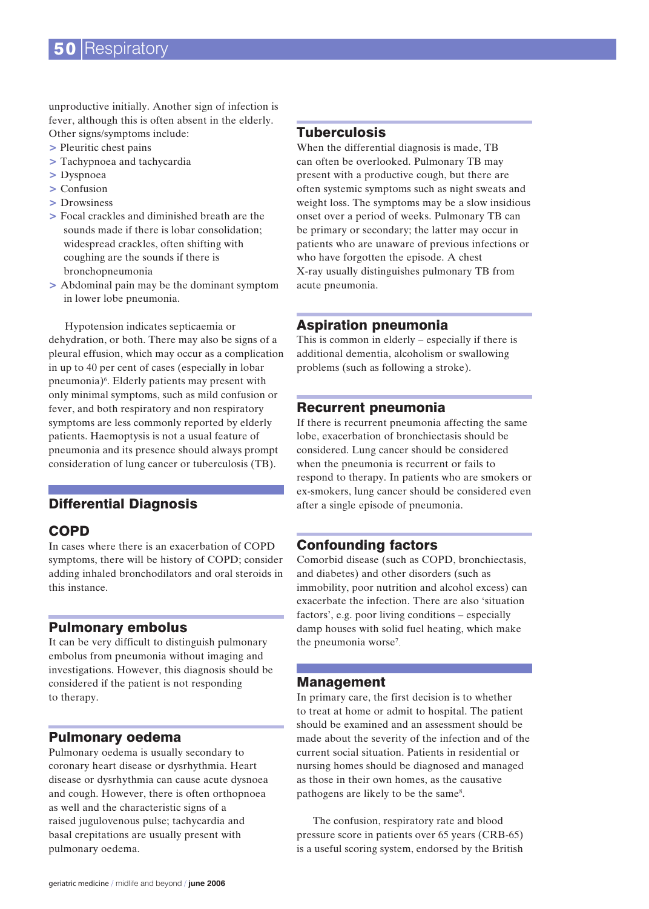unproductive initially. Another sign of infection is fever, although this is often absent in the elderly. Other signs/symptoms include:

- > Pleuritic chest pains
- > Tachypnoea and tachycardia
- > Dyspnoea
- > Confusion
- > Drowsiness
- > Focal crackles and diminished breath are the sounds made if there is lobar consolidation; widespread crackles, often shifting with coughing are the sounds if there is bronchopneumonia
- > Abdominal pain may be the dominant symptom in lower lobe pneumonia.

Hypotension indicates septicaemia or dehydration, or both. There may also be signs of a pleural effusion, which may occur as a complication in up to 40 per cent of cases (especially in lobar pneumonia)<sup>6</sup>. Elderly patients may present with only minimal symptoms, such as mild confusion or fever, and both respiratory and non respiratory symptoms are less commonly reported by elderly patients. Haemoptysis is not a usual feature of pneumonia and its presence should always prompt consideration of lung cancer or tuberculosis (TB).

## Differential Diagnosis

## COPD

In cases where there is an exacerbation of COPD symptoms, there will be history of COPD; consider adding inhaled bronchodilators and oral steroids in this instance.

#### Pulmonary embolus

It can be very difficult to distinguish pulmonary embolus from pneumonia without imaging and investigations. However, this diagnosis should be considered if the patient is not responding to therapy.

#### Pulmonary oedema

Pulmonary oedema is usually secondary to coronary heart disease or dysrhythmia. Heart disease or dysrhythmia can cause acute dysnoea and cough. However, there is often orthopnoea as well and the characteristic signs of a raised jugulovenous pulse; tachycardia and basal crepitations are usually present with pulmonary oedema.

### **Tuberculosis**

When the differential diagnosis is made, TB can often be overlooked. Pulmonary TB may present with a productive cough, but there are often systemic symptoms such as night sweats and weight loss. The symptoms may be a slow insidious onset over a period of weeks. Pulmonary TB can be primary or secondary; the latter may occur in patients who are unaware of previous infections or who have forgotten the episode. A chest X-ray usually distinguishes pulmonary TB from acute pneumonia.

#### Aspiration pneumonia

This is common in elderly – especially if there is additional dementia, alcoholism or swallowing problems (such as following a stroke).

#### Recurrent pneumonia

If there is recurrent pneumonia affecting the same lobe, exacerbation of bronchiectasis should be considered. Lung cancer should be considered when the pneumonia is recurrent or fails to respond to therapy. In patients who are smokers or ex-smokers, lung cancer should be considered even after a single episode of pneumonia.

#### Confounding factors

Comorbid disease (such as COPD, bronchiectasis, and diabetes) and other disorders (such as immobility, poor nutrition and alcohol excess) can exacerbate the infection. There are also 'situation factors', e.g. poor living conditions – especially damp houses with solid fuel heating, which make the pneumonia worse<sup>7</sup>.

#### Management

In primary care, the first decision is to whether to treat at home or admit to hospital. The patient should be examined and an assessment should be made about the severity of the infection and of the current social situation. Patients in residential or nursing homes should be diagnosed and managed as those in their own homes, as the causative pathogens are likely to be the same<sup>8</sup>.

The confusion, respiratory rate and blood pressure score in patients over 65 years (CRB-65) is a useful scoring system, endorsed by the British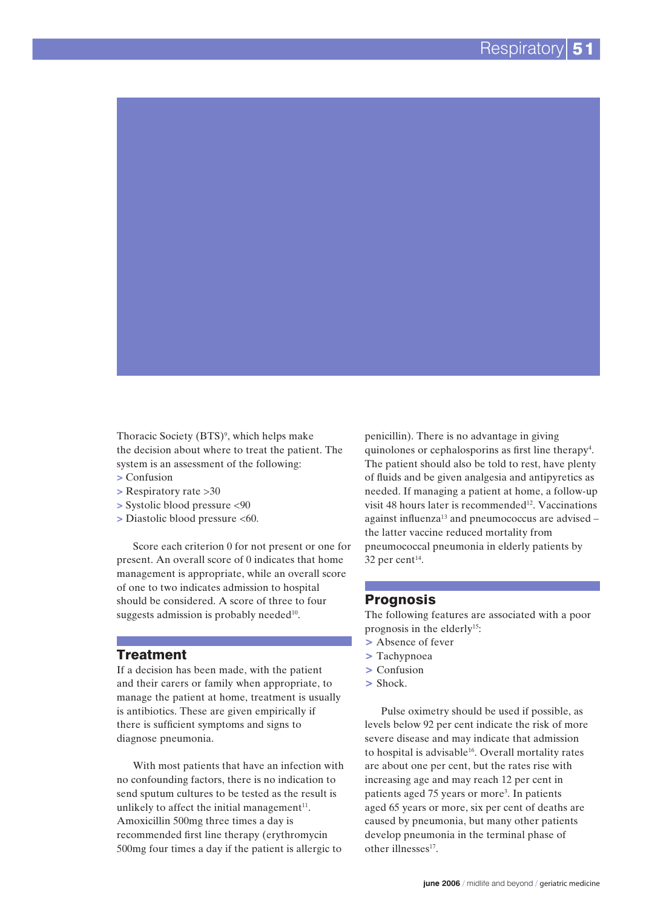Thoracic Society (BTS)<sup>9</sup>, which helps make the decision about where to treat the patient. The system is an assessment of the following:

- **>** Confusion
- **>** Respiratory rate >30
- **>** Systolic blood pressure <90
- **>** Diastolic blood pressure <60.

Score each criterion 0 for not present or one for present. An overall score of 0 indicates that home management is appropriate, while an overall score of one to two indicates admission to hospital should be considered. A score of three to four suggests admission is probably needed $10$ .

#### Treatment

If a decision has been made, with the patient and their carers or family when appropriate, to manage the patient at home, treatment is usually is antibiotics. These are given empirically if there is sufficient symptoms and signs to diagnose pneumonia.

With most patients that have an infection with no confounding factors, there is no indication to send sputum cultures to be tested as the result is unlikely to affect the initial management $11$ . Amoxicillin 500mg three times a day is recommended first line therapy (erythromycin 500mg four times a day if the patient is allergic to

penicillin). There is no advantage in giving quinolones or cephalosporins as first line therapy<sup>4</sup>. The patient should also be told to rest, have plenty of fluids and be given analgesia and antipyretics as needed. If managing a patient at home, a follow-up visit 48 hours later is recommended<sup>12</sup>. Vaccinations against influenza<sup>13</sup> and pneumococcus are advised  $$ the latter vaccine reduced mortality from pneumococcal pneumonia in elderly patients by  $32$  per cent<sup>14</sup>.

#### Prognosis

The following features are associated with a poor prognosis in the elderly<sup>15</sup>:

- > Absence of fever
- > Tachypnoea
- > Confusion
- > Shock.

Pulse oximetry should be used if possible, as levels below 92 per cent indicate the risk of more severe disease and may indicate that admission to hospital is advisable<sup>16</sup>. Overall mortality rates are about one per cent, but the rates rise with increasing age and may reach 12 per cent in patients aged 75 years or more<sup>3</sup>. In patients aged 65 years or more, six per cent of deaths are caused by pneumonia, but many other patients develop pneumonia in the terminal phase of other illnesses<sup>17</sup>.